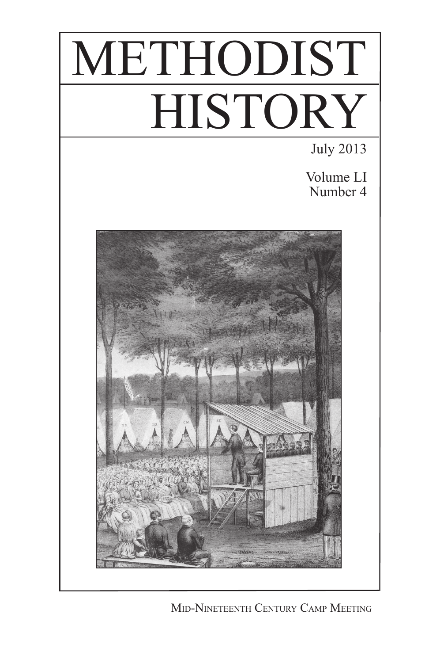



Mid-Nineteenth Century Camp Meeting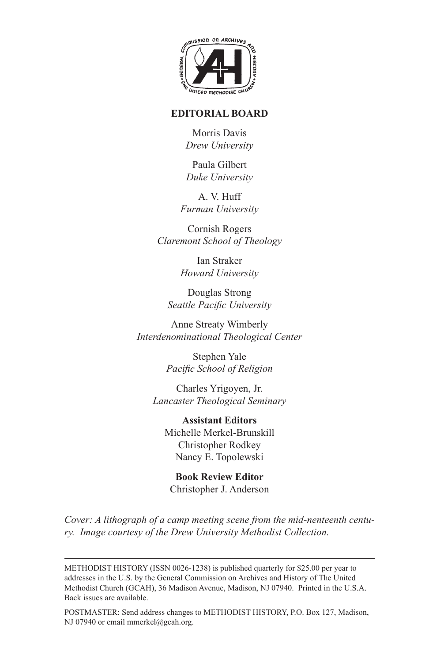

## **EDITORIAL BOARD**

Morris Davis *Drew University*

Paula Gilbert *Duke University*

A. V. Huff *Furman University*

Cornish Rogers *Claremont School of Theology*

> Ian Straker *Howard University*

Douglas Strong *Seattle Pacific University*

Anne Streaty Wimberly *Interdenominational Theological Center*

> Stephen Yale *Pacific School of Religion*

Charles Yrigoyen, Jr. *Lancaster Theological Seminary*

**Assistant Editors** Michelle Merkel-Brunskill Christopher Rodkey Nancy E. Topolewski

**Book Review Editor** Christopher J. Anderson

*Cover: A lithograph of a camp meeting scene from the mid-nenteenth century. Image courtesy of the Drew University Methodist Collection.* 

POSTMASTER: Send address changes to METHODIST HISTORY, P.O. Box 127, Madison, NJ 07940 or email mmerkel@gcah.org.

METHODIST HISTORY (ISSN 0026-1238) is published quarterly for \$25.00 per year to addresses in the U.S. by the General Commission on Archives and History of The United Methodist Church (GCAH), 36 Madison Avenue, Madison, NJ 07940. Printed in the U.S.A. Back issues are available.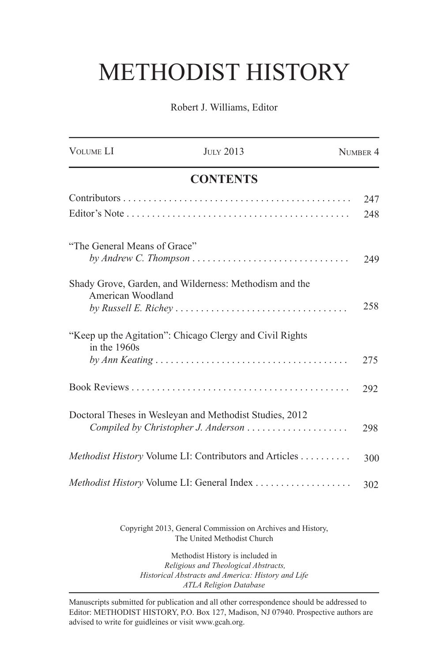## METHODIST HISTORY

Robert J. Williams, Editor

| <b>VOLUME LI</b>             | <b>JULY 2013</b>                                               | NUMBER 4 |
|------------------------------|----------------------------------------------------------------|----------|
|                              | <b>CONTENTS</b>                                                |          |
|                              |                                                                | 247      |
|                              |                                                                | 248      |
| "The General Means of Grace" |                                                                | 249      |
| American Woodland            | Shady Grove, Garden, and Wilderness: Methodism and the         | 258      |
| in the $1960s$               | "Keep up the Agitation": Chicago Clergy and Civil Rights       | 275      |
|                              |                                                                | 292      |
|                              | Doctoral Theses in Wesleyan and Methodist Studies, 2012        | 298      |
|                              | <i>Methodist History Volume LI: Contributors and Articles </i> | 300      |
|                              |                                                                | 302      |
|                              |                                                                |          |

Copyright 2013, General Commission on Archives and History, The United Methodist Church

Methodist History is included in  *Religious and Theological Abstracts, Historical Abstracts and America: History and Life ATLA Religion Database*

Manuscripts submitted for publication and all other correspondence should be addressed to Editor: METHODIST HISTORY, P.O. Box 127, Madison, NJ 07940. Prospective authors are advised to write for guidleines or visit www.gcah.org.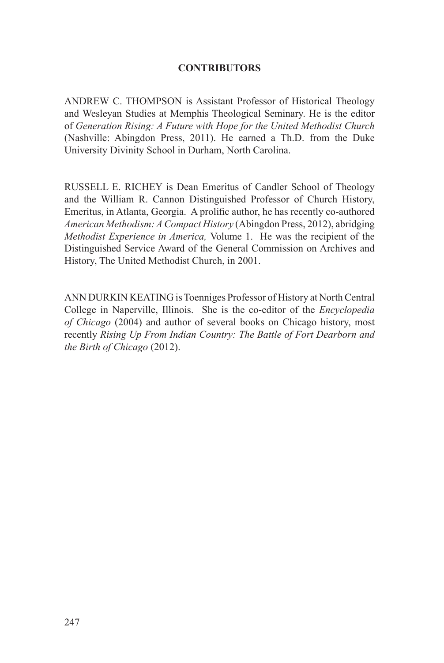## **CONTRIBUTORS**

ANDREW C. THOMPSON is Assistant Professor of Historical Theology and Wesleyan Studies at Memphis Theological Seminary. He is the editor of *Generation Rising: A Future with Hope for the United Methodist Church*  (Nashville: Abingdon Press, 2011). He earned a Th.D. from the Duke University Divinity School in Durham, North Carolina.

RUSSELL E. RICHEY is Dean Emeritus of Candler School of Theology and the William R. Cannon Distinguished Professor of Church History, Emeritus, in Atlanta, Georgia. A prolific author, he has recently co-authored *American Methodism: A Compact History* (Abingdon Press, 2012), abridging *Methodist Experience in America,* Volume 1. He was the recipient of the Distinguished Service Award of the General Commission on Archives and History, The United Methodist Church, in 2001.

ANN DURKIN KEATING is Toenniges Professor of History at North Central College in Naperville, Illinois. She is the co-editor of the *Encyclopedia of Chicago* (2004) and author of several books on Chicago history, most recently *Rising Up From Indian Country: The Battle of Fort Dearborn and the Birth of Chicago* (2012).